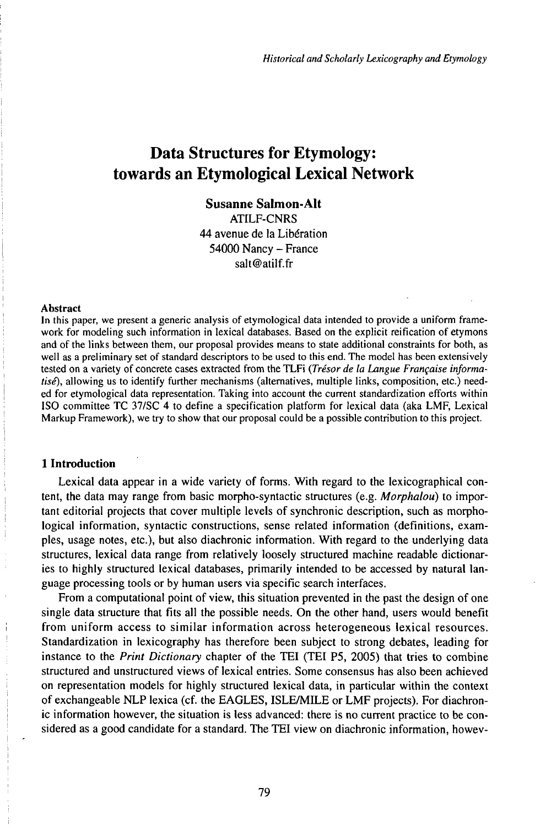# Data Structures for Etymology: towards an Etymological Lexical Network

## **Susanne Salmon-Alt**

ATILF-CNRS

44 avenue de la Libération <sup>54000</sup> Nancy - France salt@atilf.fr

#### **Abstract**

In this paper, we present a generic analysis of etymological data intended to provide a uniform framework for modeling such information in lexical databases. Based on the explicit reification of etymons and of the links between them, our proposal provides means to state additional constraints for both, as well as a preliminary set of standard descriptors to be used to this end. The model has been extensively tested on a variety of concrete cases extracted from the TLFi *(Trésor de la Langue Française informatisé),* allowing us to identify further mechanisms (alternatives, multiple links, composition, etc.) needed for etymological data representation. Taking into account the current standardization efforts within ISO committee TC 37/SC 4 to define a specification platform for lexical data (aka LMF, Lexical Markup Framework), we try to show that our proposal could be a possible contribution to this project.

## **1 Introduction**

Lexical data appear in a wide variety of forms. With regard to the lexicographical content, the data may range from basic morpho-syntactic structures (e.g. *Morphalou)* to important editorial projects that cover multiple levels of synchronic description, such as morphological information, syntactic constructions, sense related information (definitions, examples, usage notes, etc.), but also diachronic information. With regard to the underlying data structures, lexical data range from relatively loosely structured machine readable dictionaries to highly structured lexical databases, primarily intended to be accessed by natural language processing tools or by human users via specific search interfaces.

From a computational point of view, this situation prevented in the past the design of one single data structure that fits all the possible needs. On the other hand, users would benefit from uniform access to similar information across heterogeneous lexical resources. Standardization in lexicography has therefore been subject to strong debates, leading for instance to the *Print Dictionary* chapter of the TEI (TEI P5, 2005) that tries to combine structured and unstructured views of lexical entries. Some consensus has also been achieved on representation models for highly structured lexical data, in particular within the context of exchangeable NLP lexica (cf. the EAGLES, ISLEMILE or LMF projects). For diachronic information however, the situation is less advanced: there is no current practice to be considered as a good candidate for a standard. The TEI view on diachronic information, howev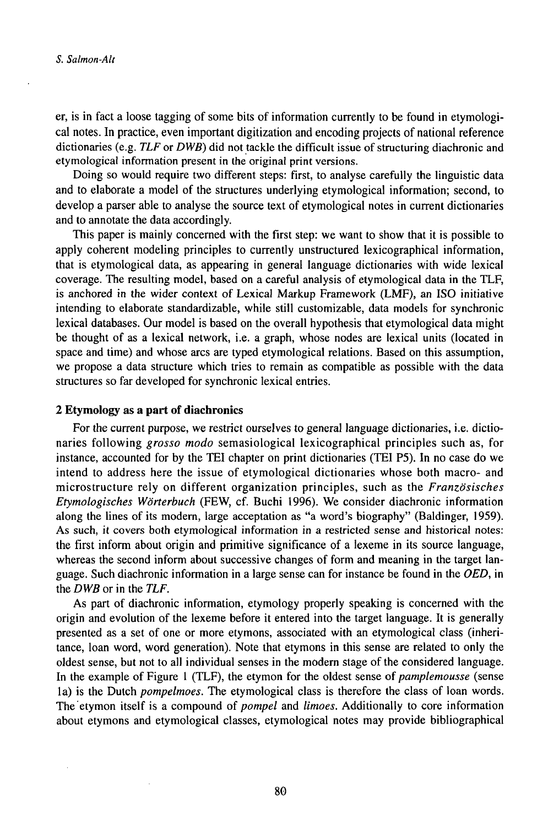er, is in fact a loose tagging of some bits of information currently to be found in etymological notes. In practice, even important digitization and encoding projects of national reference dictionaries (e.g. *TLF* or *DWB)* did not tackle the difficult issue of structuring diachronic and etymological information present in the original print versions.

Doing so would require two different steps: first, to analyse carefully the linguistic data and to elaborate a model of the structures underlying etymological information; second, to develop a parser able to analyse the source text of etymological notes in current dictionaries and to annotate the data accordingly.

This paper is mainly concerned with the first step: we want to show that it is possible to apply coherent modeling principles to currently unstructured lexicographical information, that is etymological data, as appearing in general language dictionaries with wide lexical coverage. The resulting model, based on a careful analysis of etymological data in the TLF, is anchored in the wider context of Lexical Markup Framework (LMF), an ISO initiative intending to elaborate standardizable, while still customizable, data models for synchronic lexical databases. Our model is based on the overall hypothesis that etymological data might be thought of as a lexical network, i.e. a graph, whose nodes are lexical units (located in space and time) and whose arcs are typed etymological relations. Based on this assumption, we propose a data structure which tries to remain as compatible as possible with the data structures so far developed for synchronic lexical entries.

#### **2 Etymology as a part of diachronics**

For the current purpose, we restrict ourselves to general language dictionaries, i.e. dictionaries following *grosso modo* semasiological lexicographical principles such as, for instance, accounted for by the TEI chapter on print dictionaries (TEI P5). In no case do we intend to address here the issue of etymological dictionaries whose both macro- and microstructure rely on different organization principles, such as the *Französisches Etymologisches Wörterbuch* (FEW, cf. Buchi 1996). We consider diachronic information along the lines of its modern, large acceptation as "a word's biography" (Baldinger, 1959). As such, it covers both etymological information in a restricted sense and historical notes: the first inform about origin and primitive significance of a lexeme in its source language, whereas the second inform about successive changes of form and meaning in the target language. Such diachronic information in a large sense can for instance be found in the *OED,* in the *DWB* or in the *TLF.*

As part of diachronic information, etymology properly speaking is concerned with the origin and evolution of the lexeme before it entered into the target language. It is generally presented as a set of one or more etymons, associated with an etymological class (inheritance, loan word, word generation). Note that etymons in this sense are related to only the oldest sense, but not to all individual senses in the modern stage of the considered language. In the example of Figure <sup>1</sup> (TLF), the etymon for the oldest sense of *pamplemousse* (sense la) is the Dutch *pompelmoes.* The etymological class is therefore the class of loan words. The etymon itself is a compound of *pompel* and *limoes*. Additionally to core information about etymons and etymological classes, etymological notes may provide bibliographical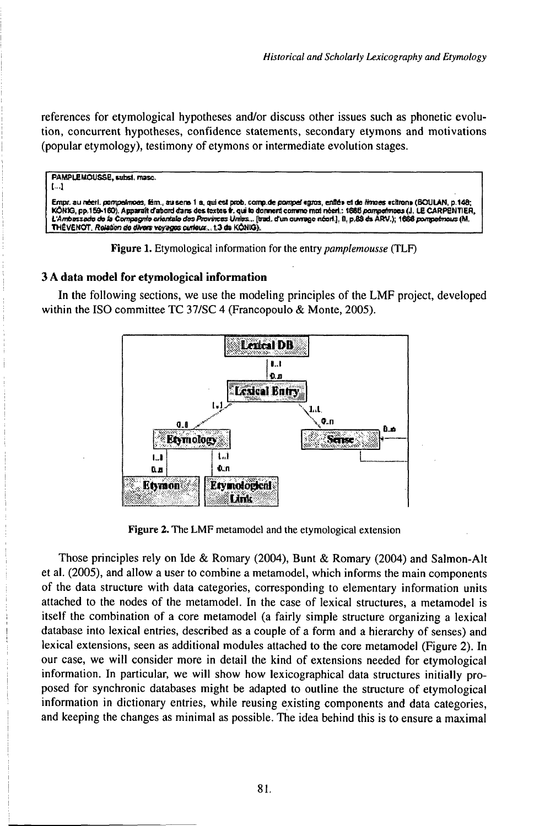references for etymological hypotheses and/or discuss other issues such as phonetic evolution, concurrent hypotheses, confidence statements, secondary etymons and motivations (popular etymology), testimony of etymons or intermediate evolution stages.

```
PAMPLEMOUSSE, subst. masc.
L.)
Empr. au néerl. pompeimoes, fém., au sens 1 a, qui est prob. comp.de pompei agros, enfiée et de limoes activone (BOULAN, p.148;
KÓNIG, pp.159-160). Apparaît d'abord dans des textes à qui le donnent comme moi néed, : 1685 porrpeimess (J. LE CARPENTIER,<br>L'Ambassade de la Compagnie orientale des Provinces Unies... [trad. d'un ouvrage néed.], il, p.89 
THÈVENOT, Ralation de divers voyages curieux... t.3 de KONIG)
```
Figure 1. Etymological information for the entry pamplemousse (TLF)

#### 3 A data model for etymological information

In the following sections, we use the modeling principles of the LMF project, developed within the ISO committee TC 37/SC 4 (Francopoulo & Monte, 2005).



Figure 2. The LMF metamodel and the etymological extension

Those principles rely on Ide & Romary (2004), Bunt & Romary (2004) and Salmon-Alt et al. (2005), and allow a user to combine a metamodel, which informs the main components of the data structure with data categories, corresponding to elementary information units attached to the nodes of the metamodel. In the case of lexical structures, a metamodel is itself the combination of a core metamodel (a fairly simple structure organizing a lexical database into lexical entries, described as a couple of a form and a hierarchy of senses) and lexical extensions, seen as additional modules attached to the core metamodel (Figure 2). In our case, we will consider more in detail the kind of extensions needed for etymological information. In particular, we will show how lexicographical data structures initially proposed for synchronic databases might be adapted to outline the structure of etymological information in dictionary entries, while reusing existing components and data categories, and keeping the changes as minimal as possible. The idea behind this is to ensure a maximal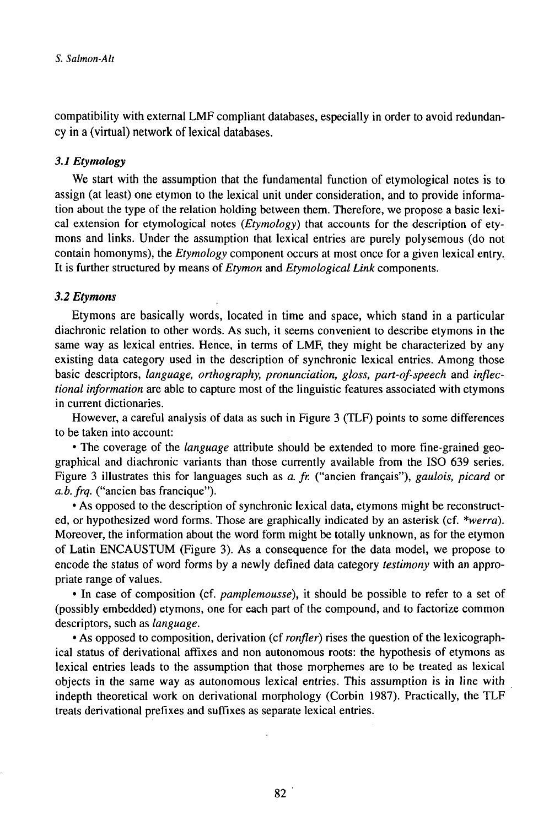compatibility with external LMF compliant databases, especially in order to avoid redundancy in a (virtual) network of lexical databases.

## *3.1 Etymology*

We start with the assumption that the fundamental function of etymological notes is to assign (at least) one etymon to the lexical unit under consideration, and to provide information about the type of the relation holding between them. Therefore, we propose a basic lexical extension for etymological notes *(Etymology)* that accounts for the description of etymons and links. Under the assumption that lexical entries are purely polysemous (do not contain homonyms), the *Etymology* component occurs at most once for a given lexical entry. It is further structured by means of *Etymon* and *Etymological Link* components.

## *3.2 Etymons*

Etymons are basically words, located in time and space, which stand in a particular diachronic relation to other words. As such, it seems convenient to describe etymons in the same way as lexical entries. Hence, in terms of LMF, they might be characterized by any existing data category used in the description of synchronic lexical entries. Among those basic descriptors, *language, orthography, pronunciation, gloss, part-of-speech* and *inflectional information* are able to capture most of the linguistic features associated with etymons in current dictionaries.

However, a careful analysis of data as such in Figure 3 (TLF) points to some differences to be taken into account:

• The coverage of the *language* attribute should be extended to more fine-grained geographical and diachronic variants than those currently available from the ISO 639 series. Figure 3 illustrates this for languages such as *a. fr.* ("ancien français"), *gaulois, picard* or *a.b.frq.* ("ancien bas francique").

• As opposed to the description of synchronie lexical data, etymons might be reconstructed, or hypothesized word forms. Those are graphically indicated by an asterisk (cf. *\*werra).* Moreover, the information about the word form might be totally unknown, as for the etymon of Latin ENCAUSTUM (Figure 3). As a consequence for the data model, we propose to encode the status of word forms by a newly defined data category *testimony* with an appropriate range of values.

• In case of composition (cf. *pamplemousse),* it should be possible to refer to a set of (possibly embedded) etymons, one for each part of the compound, and to factorize common descriptors, such as *language.*

• As opposed to composition, derivation (cf *ronfler)* rises the question of the lexicographical status of derivational affixes and non autonomous roots: the hypothesis of etymons as lexical entries leads to the assumption that those morphemes are to be treated as lexical objects in the same way as autonomous lexical entries. This assumption is in line with indepth theoretical work on derivational morphology (Corbin 1987). Practically, the TLF treats derivational prefixes and suffixes as separate lexical entries.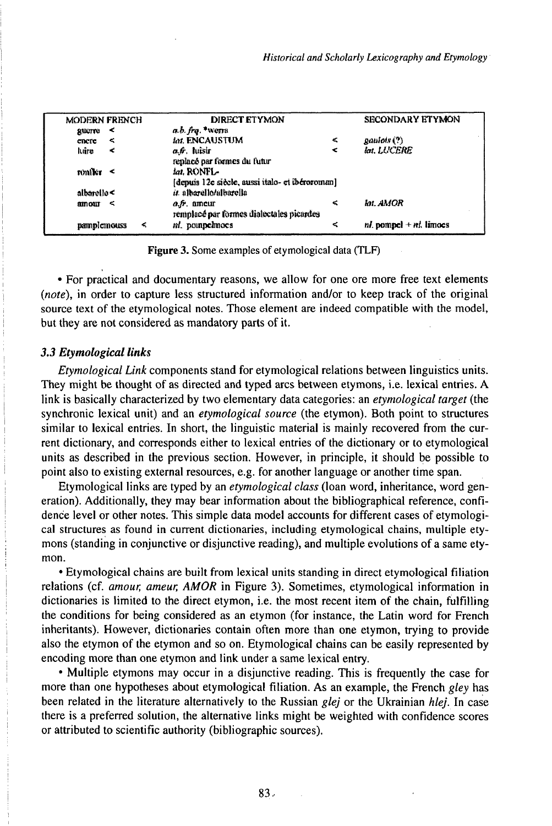| <b>MODERN FRENCH</b> | <b>DIRECT ETYMON</b>                                             |        | <b>SECONDARY ETYMON</b>      |
|----------------------|------------------------------------------------------------------|--------|------------------------------|
| ⋖<br>gaterre         | a.b. frq. *werm                                                  |        |                              |
| ≺<br>cnere           | Int. ENCAUSTUM                                                   | $\leq$ | gaulois (?)                  |
| luire<br>ĸ           | a 6. luisir<br>replacé par formes du futur                       | ≺      | lat. LUCERE                  |
| $\text{multic}$ <    | lat. RONFL-<br>Idenuis 12e siècle, aussi italo- et ibéroroman]   |        |                              |
| albarello <          | <i>it</i> . albarello/albarella                                  |        |                              |
| $\text{amount} \le$  | $a, \hat{b}$ , ameur<br>remplacé par formes dialectales picardes | <      | Int. AMOR                    |
| pamplemouss<br>-5    | ni, pounpelmoes                                                  | $\leq$ | $nl$ , pompel $+nl$ , limoes |

Figure 3. Some examples of etymological data (TLF)

• For practical and documentary reasons, we allow for one ore more free text elements *(note),* in order to capture less structured information and/or to keep track of the original source text of the etymological notes. Those element are indeed compatible with the model, but they are not considered as mandatory parts of it.

#### **3.3 Etymological links**

*Etymological Link* components stand for etymological relations between linguistics units. They might be thought of as directed and typed arcs between etymons, i.e. lexical entries. A link is basically characterized by two elementary data categories: an *etymological target* (the synchronic lexical unit) and an *etymological source* (the etymon). Both point to structures similar to lexical entries. In short, the linguistic material is mainly recovered from the current dictionary, and corresponds either to lexical entries of the dictionary or to etymological units as described in the previous section. However, in principle, it should be possible to point also to existing external resources, e.g. for another language or another time span.

Etymological links are typed by an *etymological class* (loan word, inheritance, word generation). Additionally, they may bear information about the bibliographical reference, confidence level or other notes. This simple data model accounts for different cases of etymological structures as found in current dictionaries, including etymological chains, multiple etymons (standing in conjunctive or disjunctive reading), and multiple evolutions of a same etymon.

• Etymological chains are built from lexical units standing in direct etymological filiation relations (cf. *amour, ameur, AMOR* in Figure 3). Sometimes, etymological information in dictionaries is limited to the direct etymon, i.e. the most recent item of the chain, fulfilling the conditions for being considered as an etymon (for instance, the Latin word for French inheritants). However, dictionaries contain often more than one etymon, trying to provide also the etymon of the etymon and so on. Etymological chains can be easily represented by encoding more than one etymon and link under a same lexical entry.

• Multiple etymons may occur in a disjunctive reading. This is frequently the case for more than one hypotheses about etymological filiation. As an example, the French *gley* has been related in the literature alternatively to the Russian *glej* or the Ukrainian *hlej.* In case there is a preferred solution, the alternative links might be weighted with confidence scores or attributed to scientific authority (bibliographic sources).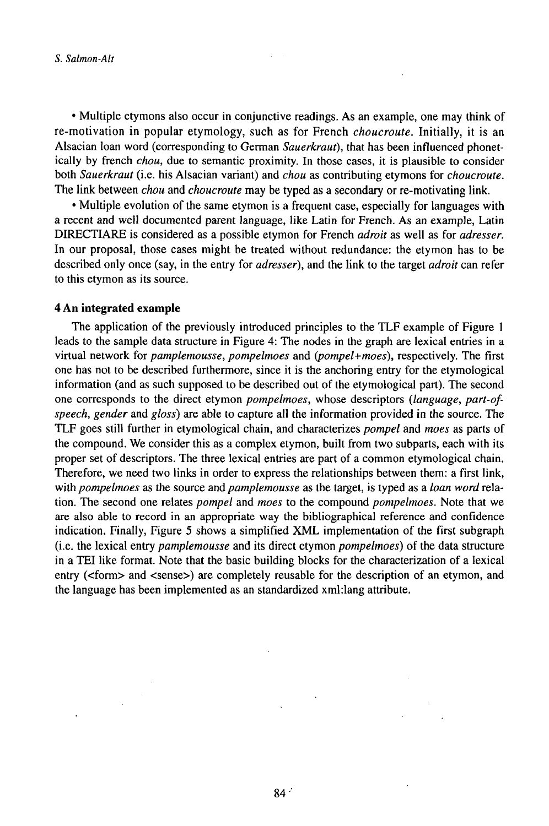• Multiple etymons also occur in conjunctive readings. As an example, one may think of re-motivation in popular etymology, such as for French *choucroute.* Initially, it is an Alsacian loan word (corresponding to German *Sauerkraut),* that has been influenced phonetically by french *chou,* due to semantic proximity. In those cases, it is plausible to consider both *Sauerkraut* (i.e. his Alsacian variant) and *chou* as contributing etymons for *choucroute.* The link between *chou* and *choucroute* may be typed as a secondary or re-motivating link.

• Multiple evolution of the same etymon is a frequent case, especially for languages with a recent and well documented parent language, like Latin for French. As an example, Latin DIRECTIARE is considered as a possible etymon for French *adroit* as well as for *adresser.* In our proposal, those cases might be treated without redundance: the etymon has to be described only once (say, in the entry for *adresser),* and the link to the target *adroit* can refer to this etymon as its source.

#### **4 An integrated example**

The application of the previously introduced principles to the TLF example of Figure <sup>1</sup> leads to the sample data structure in Figure 4: The nodes in the graph are lexical entries in a virtual network for *pamplemousse, pompelmoes* and *Q}ompel+moes),* respectively. The first one has not to be described furthermore, since it is the anchoring entry for the etymological information (and as such supposed to be described out of the etymological part). The second one corresponds to the direct etymon *pompelmoes,* whose descriptors *(language, part-ofspeech, gender* and *gloss)* are able to capture all the information provided in the source. The TLF goes still further in etymological chain, and characterizes *pompel* and *moes* as parts of the compound. We consider this as a complex etymon, built from two subparts, each with its proper set of descriptors. The three lexical entries are part of a common etymological chain. Therefore, we need two links in order to express the relationships between them: a first link, with *pompelmoes* as the source and *pamplemousse* as the target, is typed as a *loan word* relation. The second one relates *pompel* and *moes* to the compound *pompelmoes.* Note that we are also able to record in an appropriate way the bibliographical reference and confidence indication. Finally, Figure 5 shows a simplified XML implementation of the first subgraph (i.e. the lexical entry *pamplemousse* and its direct etymon *pompelmoes)* of the data structure in a TEI like format. Note that the basic building blocks for the characterization of a lexical entry (<form> and <sense>) are completely reusable for the description of an etymon, and the language has been implemented as an standardized xml:lang attribute.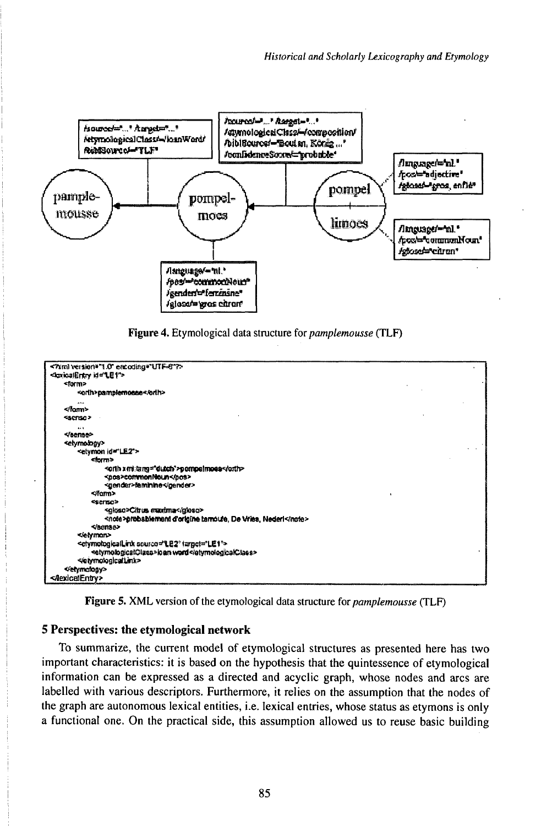



| $-$ form $\ge$<br><adb>pamplemosse</adb><br>5.58<br><br><sermo><br/><math>4 + 1</math><br/><br/><etymology><br/><etymon id="LE2"><br/><form><br/>sorth xetitang="dutch"&gt;pompelmoess/orth&gt;<br/><pos>commonNoun</pos><br/><gender>faminine</gender><br/></form><br/><serse><br/><gloso>Citrus maxima</gloso><br/>snote&gt;probablement d'origine tamoute, De Vries, Nederl<br/><br/>«letyman»<br/><clymologicallink (argel="LE1" source="LE2"><br/>setymologicalClass&gt;loan word<br/><br/><br/><nexicalentry></nexicalentry></clymologicallink></serse></etymon></etymology></sermo> | <knicalentry id="LE1"></knicalentry> |  |
|--------------------------------------------------------------------------------------------------------------------------------------------------------------------------------------------------------------------------------------------------------------------------------------------------------------------------------------------------------------------------------------------------------------------------------------------------------------------------------------------------------------------------------------------------------------------------------------------|--------------------------------------|--|
|                                                                                                                                                                                                                                                                                                                                                                                                                                                                                                                                                                                            |                                      |  |
|                                                                                                                                                                                                                                                                                                                                                                                                                                                                                                                                                                                            |                                      |  |
|                                                                                                                                                                                                                                                                                                                                                                                                                                                                                                                                                                                            |                                      |  |
|                                                                                                                                                                                                                                                                                                                                                                                                                                                                                                                                                                                            |                                      |  |
|                                                                                                                                                                                                                                                                                                                                                                                                                                                                                                                                                                                            |                                      |  |
|                                                                                                                                                                                                                                                                                                                                                                                                                                                                                                                                                                                            |                                      |  |
|                                                                                                                                                                                                                                                                                                                                                                                                                                                                                                                                                                                            |                                      |  |
|                                                                                                                                                                                                                                                                                                                                                                                                                                                                                                                                                                                            |                                      |  |
|                                                                                                                                                                                                                                                                                                                                                                                                                                                                                                                                                                                            |                                      |  |
|                                                                                                                                                                                                                                                                                                                                                                                                                                                                                                                                                                                            |                                      |  |
|                                                                                                                                                                                                                                                                                                                                                                                                                                                                                                                                                                                            |                                      |  |
|                                                                                                                                                                                                                                                                                                                                                                                                                                                                                                                                                                                            |                                      |  |
|                                                                                                                                                                                                                                                                                                                                                                                                                                                                                                                                                                                            |                                      |  |
|                                                                                                                                                                                                                                                                                                                                                                                                                                                                                                                                                                                            |                                      |  |
|                                                                                                                                                                                                                                                                                                                                                                                                                                                                                                                                                                                            |                                      |  |
|                                                                                                                                                                                                                                                                                                                                                                                                                                                                                                                                                                                            |                                      |  |
|                                                                                                                                                                                                                                                                                                                                                                                                                                                                                                                                                                                            |                                      |  |
|                                                                                                                                                                                                                                                                                                                                                                                                                                                                                                                                                                                            |                                      |  |
|                                                                                                                                                                                                                                                                                                                                                                                                                                                                                                                                                                                            |                                      |  |
|                                                                                                                                                                                                                                                                                                                                                                                                                                                                                                                                                                                            |                                      |  |
|                                                                                                                                                                                                                                                                                                                                                                                                                                                                                                                                                                                            |                                      |  |
|                                                                                                                                                                                                                                                                                                                                                                                                                                                                                                                                                                                            |                                      |  |

Figure 5. XML version of the etymological data structure for *pamplemousse* (TLF)

## 5 Perspectives: the etymological network

To summarize, the current model of etymological structures as presented here has two important characteristics: it is based on the hypothesis that the quintessence of etymological information can be expressed as a directed and acyclic graph, whose nodes and arcs are labelled with various descriptors. Furthermore, it relies on the assumption that the nodes of the graph are autonomous lexical entities, i.e. lexical entries, whose status as etymons is only a functional one. On the practical side, this assumption allowed us to reuse basic building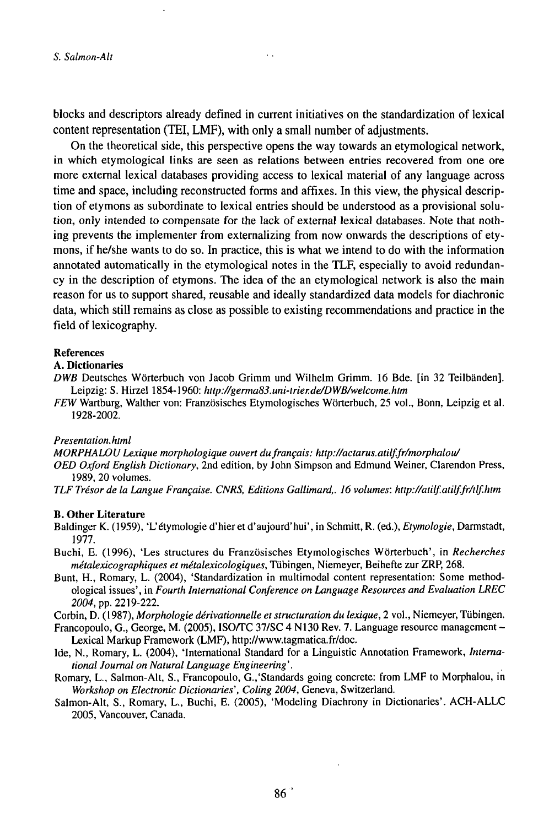blocks and descriptors already defined in current initiatives on the standardization of lexical content representation (TEI, LMF), with only a small number of adjustments.

 $\ddot{\phantom{a}}$ 

On the theoretical side, this perspective opens the way towards an etymological network, in which etymological links are seen as relations between entries recovered from one ore more external lexical databases providing access to lexical material of any language across time and space, including reconstructed forms and affixes. In this view, the physical description of etymons as subordinate to lexical entries should be understood as a provisional solution, only intended to compensate for the lack of external lexical databases. Note that nothing prevents the implementer from externalizing from now onwards the descriptions of etymons, if he/she wants to do so. In practice, this is what we intend to do with the information annotated automatically in the etymological notes in the TLF, especially to avoid redundancy in the description of etymons. The idea of the an etymological network is also the main reason for us to support shared, reusable and ideally standardized data models for diachronic data, which still remains as close as possible to existing recommendations and practice in the field of lexicography.

#### References

#### A. Dictionaries

- *DWB* Deutsches Wörterbuch von Jacob Grimm und Wilhelm Grimm. 16 Bde. [in 32 Teilbänden]. Leipzig: S. Hirzel 1854-1960: *http://germa83.uni-trier.de/DWB/welcome.htm*
- FEW Wartburg, Walther von: Französisches Etymologisches Wörterbuch, 25 vol., Bonn, Leipzig et al. 1928-2002.

#### *Presentation, html*

*MORPHALOULexique morphologique ouvertdufrançais: http://actarus.atilf.fr/morphalou/*

- *OED Oxford English Dictionary,* 2nd edition, by John Simpson and Edmund Weiner, Clarendon Press, 1989, 20 volumes.
- *TLF Trésorde la Langue Française. CNRS, Editions Gallimard,. 16 volumes: http://atilf.atilf.fr/tlf.htm*

#### B. Other Literature

- Baldinger K. (1959), 'L'étymologie d'hier et d'aujourd'hui', in Schmitt, R. (ed.), *Etymologie,* Darmstadt, 1977.
- Buchi, E. (1996), 'Les structures du Französisches Etymologisches Wörterbuch', in *Recherches métalexicographiques et métalexicologiques,* Tübingen, Niemeyer, Beihefte zur ZRP, 268.
- Bunt, H., Romary, L. (2004), 'Standardization in multimodal content representation: Some methodological issues', in *Fourth International Conference on Language Resources and Evaluation LREC 2004,* pp. 2219-222.

Corbin, D. (1987), *Morphologie dérivationnelle et structuration du lexique,* 2 vol., Niemeyer, Tübingen.

- Francopoulo, G., George, M. (2005), ISO/TC 37/SC 4 N130 Rev. 7. Language resource management -Lexical Markup Framework (LMF), http://www.tagmatica.fr/doc.
- Ide, N., Romary, L. (2004), 'International Standard for a Linguistic Annotation Framework, *International Journal on Natural Language Engineering '.*
- Romary, L., Salmon-Alt, S., Francopoulo, G.,'Standards going concrete: from LMF to Morphalou, in *Workshop on Electronic Dictionaries', Coling 2004,* Geneva, Switzerland.
- Salmon-Alt, S., Romary, L., Buchi, E. (2005), 'Modeling Diachrony in Dictionaries'. ACH-ALLC 2005, Vancouver, Canada.